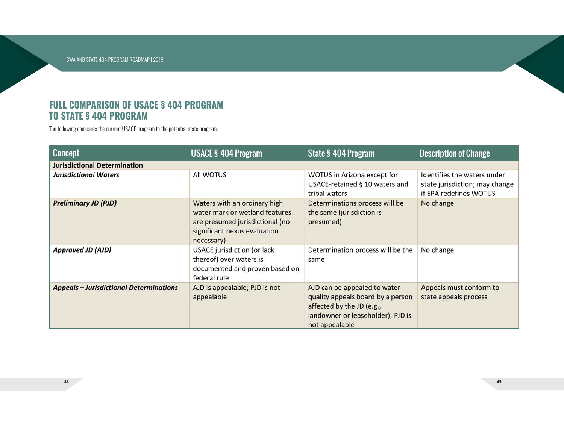## **FULL COMPARISON OF USACE § 404 PROGRAM TO STATE § 404 PROGRAM**

The following compares the current USACE program to the potential state program.

| <b>Concept</b>                                 | <b>USACE § 404 Program</b>                                                                                                                      | <b>State § 404 Program</b>                                                                                                                            | <b>Description of Change</b>                                                            |
|------------------------------------------------|-------------------------------------------------------------------------------------------------------------------------------------------------|-------------------------------------------------------------------------------------------------------------------------------------------------------|-----------------------------------------------------------------------------------------|
| <b>Jurisdictional Determination</b>            |                                                                                                                                                 |                                                                                                                                                       |                                                                                         |
| <b>Jurisdictional Waters</b>                   | All WOTUS                                                                                                                                       | WOTUS in Arizona except for<br>USACE-retained § 10 waters and<br>tribal waters                                                                        | Identifies the waters under<br>state jurisdiction; may change<br>if EPA redefines WOTUS |
| <b>Preliminary JD (PJD)</b>                    | Waters with an ordinary high<br>water mark or wetland features<br>are presumed jurisdictional (no<br>significant nexus evaluation<br>necessary) | Determinations process will be<br>the same (jurisdiction is<br>presumed)                                                                              | No change                                                                               |
| <b>Approved JD (AJD)</b>                       | USACE jurisdiction (or lack<br>thereof) over waters is<br>documented and proven based on<br>federal rule                                        | Determination process will be the<br>same                                                                                                             | No change                                                                               |
| <b>Appeals - Jurisdictional Determinations</b> | AJD is appealable; PJD is not<br>appealable                                                                                                     | AJD can be appealed to water<br>quality appeals board by a person<br>affected by the JD (e.g.,<br>landowner or leaseholder); PJD is<br>not appealable | Appeals must conform to<br>state appeals process                                        |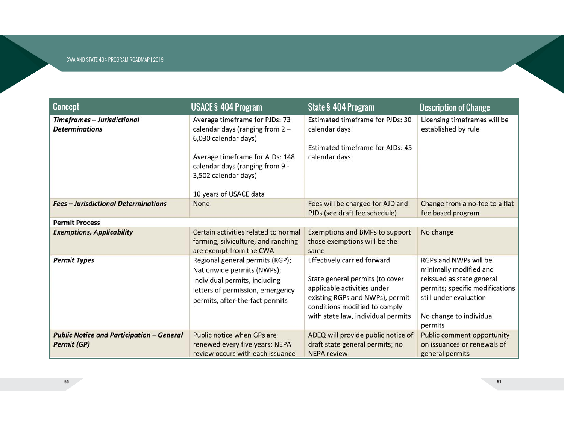| Concept                                                                | <b>USACE § 404 Program</b>                                                                                                                                                                                          | <b>State § 404 Program</b>                                                                                                                                                                                     | <b>Description of Change</b>                                                                                                                                                    |
|------------------------------------------------------------------------|---------------------------------------------------------------------------------------------------------------------------------------------------------------------------------------------------------------------|----------------------------------------------------------------------------------------------------------------------------------------------------------------------------------------------------------------|---------------------------------------------------------------------------------------------------------------------------------------------------------------------------------|
| Timeframes - Jurisdictional<br><b>Determinations</b>                   | Average timeframe for PJDs: 73<br>calendar days (ranging from $2 -$<br>6,030 calendar days)<br>Average timeframe for AJDs: 148<br>calendar days (ranging from 9 -<br>3,502 calendar days)<br>10 years of USACE data | <b>Estimated timeframe for PJDs: 30</b><br>calendar days<br>Estimated timeframe for AJDs: 45<br>calendar days                                                                                                  | Licensing timeframes will be<br>established by rule                                                                                                                             |
| <b>Fees - Jurisdictional Determinations</b>                            | <b>None</b>                                                                                                                                                                                                         | Fees will be charged for AJD and<br>PJDs (see draft fee schedule)                                                                                                                                              | Change from a no-fee to a flat<br>fee based program                                                                                                                             |
| <b>Permit Process</b>                                                  |                                                                                                                                                                                                                     |                                                                                                                                                                                                                |                                                                                                                                                                                 |
| <b>Exemptions, Applicability</b>                                       | Certain activities related to normal<br>farming, silviculture, and ranching<br>are exempt from the CWA                                                                                                              | <b>Exemptions and BMPs to support</b><br>those exemptions will be the<br>same                                                                                                                                  | No change                                                                                                                                                                       |
| <b>Permit Types</b>                                                    | Regional general permits (RGP);<br>Nationwide permits (NWPs);<br>Individual permits, including<br>letters of permission, emergency<br>permits, after-the-fact permits                                               | <b>Effectively carried forward</b><br>State general permits (to cover<br>applicable activities under<br>existing RGPs and NWPs), permit<br>conditions modified to comply<br>with state law, individual permits | RGPs and NWPs will be<br>minimally modified and<br>reissued as state general<br>permits; specific modifications<br>still under evaluation<br>No change to individual<br>permits |
| <b>Public Notice and Participation - General</b><br><b>Permit (GP)</b> | Public notice when GPs are<br>renewed every five years; NEPA<br>review occurs with each issuance                                                                                                                    | ADEQ will provide public notice of<br>draft state general permits; no<br><b>NEPA review</b>                                                                                                                    | <b>Public comment opportunity</b><br>on issuances or renewals of<br>general permits                                                                                             |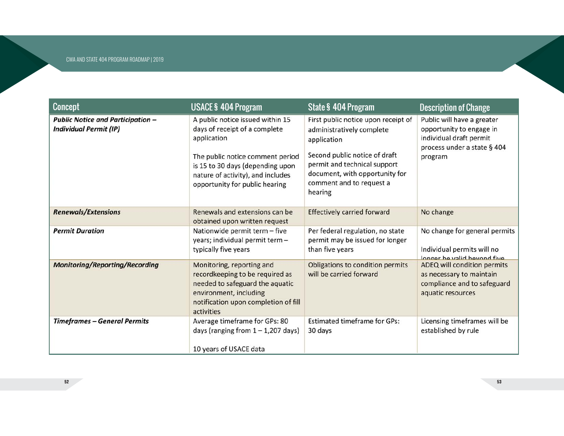| <b>Concept</b>                                                            | <b>USACE § 404 Program</b>                                                                                                                                                                                                      | <b>State § 404 Program</b>                                                                                                                                                                                                | <b>Description of Change</b>                                                                                                |
|---------------------------------------------------------------------------|---------------------------------------------------------------------------------------------------------------------------------------------------------------------------------------------------------------------------------|---------------------------------------------------------------------------------------------------------------------------------------------------------------------------------------------------------------------------|-----------------------------------------------------------------------------------------------------------------------------|
| <b>Public Notice and Participation -</b><br><b>Individual Permit (IP)</b> | A public notice issued within 15<br>days of receipt of a complete<br>application<br>The public notice comment period<br>is 15 to 30 days (depending upon<br>nature of activity), and includes<br>opportunity for public hearing | First public notice upon receipt of<br>administratively complete<br>application<br>Second public notice of draft<br>permit and technical support<br>document, with opportunity for<br>comment and to request a<br>hearing | Public will have a greater<br>opportunity to engage in<br>individual draft permit<br>process under a state § 404<br>program |
| <b>Renewals/Extensions</b>                                                | Renewals and extensions can be<br>obtained upon written request                                                                                                                                                                 | <b>Effectively carried forward</b>                                                                                                                                                                                        | No change                                                                                                                   |
| <b>Permit Duration</b>                                                    | Nationwide permit term - five<br>years; individual permit term -<br>typically five years                                                                                                                                        | Per federal regulation, no state<br>permit may be issued for longer<br>than five years                                                                                                                                    | No change for general permits<br>Individual permits will no<br>Ionger he valid hevond five                                  |
| <b>Monitoring/Reporting/Recording</b>                                     | Monitoring, reporting and<br>recordkeeping to be required as<br>needed to safeguard the aquatic<br>environment, including<br>notification upon completion of fill<br>activities                                                 | Obligations to condition permits<br>will be carried forward                                                                                                                                                               | ADEQ will condition permits<br>as necessary to maintain<br>compliance and to safeguard<br>aquatic resources                 |
| <b>Timeframes - General Permits</b>                                       | Average timeframe for GPs: 80<br>days (ranging from $1 - 1,207$ days)<br>10 years of USACE data                                                                                                                                 | <b>Estimated timeframe for GPs:</b><br>30 days                                                                                                                                                                            | Licensing timeframes will be<br>established by rule                                                                         |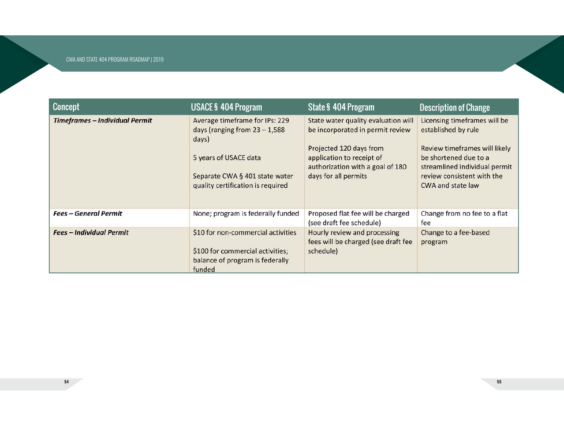| <b>Concept</b>                  | <b>USACE § 404 Program</b>                                                                                                                                                 | <b>State § 404 Program</b>                                                                                                                                                                  | <b>Description of Change</b>                                                                                                                                                                      |
|---------------------------------|----------------------------------------------------------------------------------------------------------------------------------------------------------------------------|---------------------------------------------------------------------------------------------------------------------------------------------------------------------------------------------|---------------------------------------------------------------------------------------------------------------------------------------------------------------------------------------------------|
| Timeframes - Individual Permit  | Average timeframe for IPs: 229<br>days (ranging from $23 - 1,588$<br>days)<br>5 years of USACE data<br>Separate CWA § 401 state water<br>quality certification is required | State water quality evaluation will<br>be incorporated in permit review<br>Projected 120 days from<br>application to receipt of<br>authorization with a goal of 180<br>days for all permits | Licensing timeframes will be<br>established by rule<br>Review timeframes will likely<br>be shortened due to a<br>streamlined individual permit<br>review consistent with the<br>CWA and state law |
| <b>Fees - General Permit</b>    | None; program is federally funded                                                                                                                                          | Proposed flat fee will be charged<br>(see draft fee schedule)                                                                                                                               | Change from no fee to a flat<br>fee                                                                                                                                                               |
| <b>Fees - Individual Permit</b> | \$10 for non-commercial activities<br>\$100 for commercial activities;<br>balance of program is federally<br>funded                                                        | Hourly review and processing<br>fees will be charged (see draft fee<br>schedule)                                                                                                            | Change to a fee-based<br>program                                                                                                                                                                  |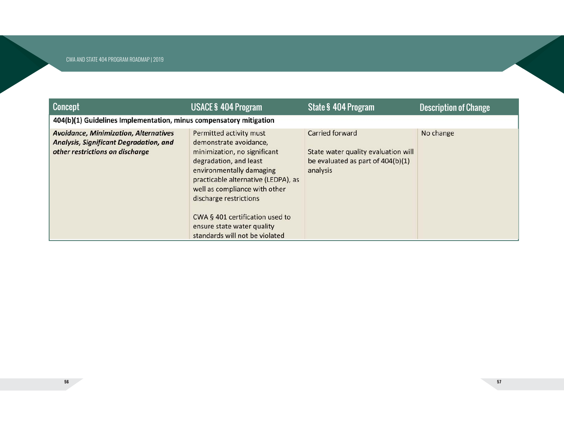**56**

| <b>Concept</b>                                                                                                                   | <b>USACE § 404 Program</b>                                                                                                                                                                                                                                                                                                                   | State § 404 Program                                                                                            | <b>Description of Change</b> |
|----------------------------------------------------------------------------------------------------------------------------------|----------------------------------------------------------------------------------------------------------------------------------------------------------------------------------------------------------------------------------------------------------------------------------------------------------------------------------------------|----------------------------------------------------------------------------------------------------------------|------------------------------|
| 404(b)(1) Guidelines Implementation, minus compensatory mitigation                                                               |                                                                                                                                                                                                                                                                                                                                              |                                                                                                                |                              |
| <b>Avoidance, Minimization, Alternatives</b><br><b>Analysis, Significant Degradation, and</b><br>other restrictions on discharge | Permitted activity must<br>demonstrate avoidance,<br>minimization, no significant<br>degradation, and least<br>environmentally damaging<br>practicable alternative (LEDPA), as<br>well as compliance with other<br>discharge restrictions<br>CWA § 401 certification used to<br>ensure state water quality<br>standards will not be violated | <b>Carried forward</b><br>State water quality evaluation will<br>be evaluated as part of 404(b)(1)<br>analysis | No change                    |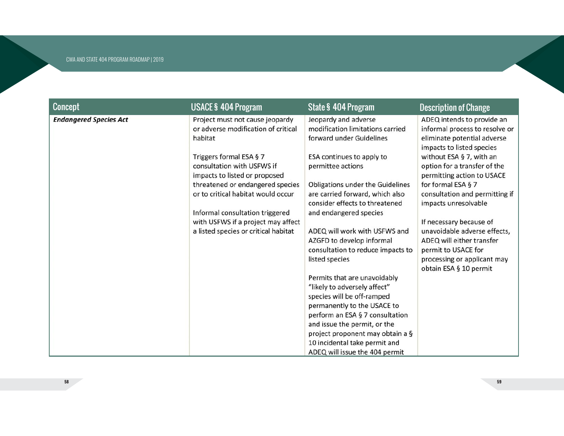| <b>Concept</b>                | <b>USACE § 404 Program</b>           | <b>State § 404 Program</b>        | <b>Description of Change</b>   |
|-------------------------------|--------------------------------------|-----------------------------------|--------------------------------|
| <b>Endangered Species Act</b> | Project must not cause jeopardy      | Jeopardy and adverse              | ADEQ intends to provide an     |
|                               | or adverse modification of critical  | modification limitations carried  | informal process to resolve or |
|                               | habitat                              | forward under Guidelines          | eliminate potential adverse    |
|                               |                                      |                                   | impacts to listed species      |
|                               | Triggers formal ESA § 7              | ESA continues to apply to         | without ESA § 7, with an       |
|                               | consultation with USFWS if           | permittee actions                 | option for a transfer of the   |
|                               | impacts to listed or proposed        |                                   | permitting action to USACE     |
|                               | threatened or endangered species     | Obligations under the Guidelines  | for formal ESA § 7             |
|                               | or to critical habitat would occur   | are carried forward, which also   | consultation and permitting if |
|                               |                                      | consider effects to threatened    | impacts unresolvable           |
|                               | Informal consultation triggered      | and endangered species            |                                |
|                               | with USFWS if a project may affect   |                                   | If necessary because of        |
|                               | a listed species or critical habitat | ADEQ will work with USFWS and     | unavoidable adverse effects,   |
|                               |                                      | AZGFD to develop informal         | ADEQ will either transfer      |
|                               |                                      | consultation to reduce impacts to | permit to USACE for            |
|                               |                                      | listed species                    | processing or applicant may    |
|                               |                                      |                                   | obtain ESA § 10 permit         |
|                               |                                      | Permits that are unavoidably      |                                |
|                               |                                      | "likely to adversely affect"      |                                |
|                               |                                      | species will be off-ramped        |                                |
|                               |                                      | permanently to the USACE to       |                                |
|                               |                                      | perform an ESA § 7 consultation   |                                |
|                               |                                      | and issue the permit, or the      |                                |
|                               |                                      | project proponent may obtain a §  |                                |
|                               |                                      | 10 incidental take permit and     |                                |
|                               |                                      | ADEQ will issue the 404 permit    |                                |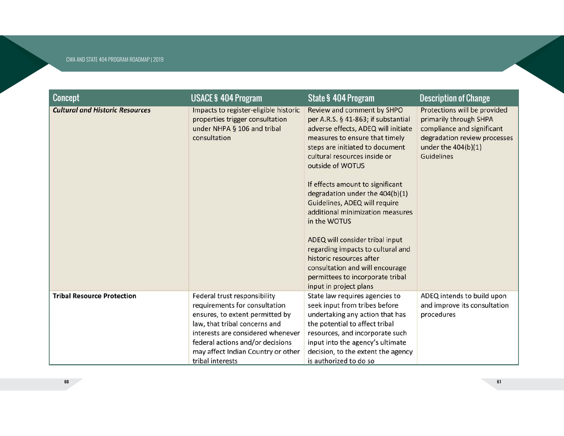| <b>Concept</b>                         | <b>USACE § 404 Program</b>                                                                                                                                                                                                                                           | <b>State § 404 Program</b>                                                                                                                                                                                                                                                                                                                                                                                                                                                                                                                                                                         | <b>Description of Change</b>                                                                                                                                       |
|----------------------------------------|----------------------------------------------------------------------------------------------------------------------------------------------------------------------------------------------------------------------------------------------------------------------|----------------------------------------------------------------------------------------------------------------------------------------------------------------------------------------------------------------------------------------------------------------------------------------------------------------------------------------------------------------------------------------------------------------------------------------------------------------------------------------------------------------------------------------------------------------------------------------------------|--------------------------------------------------------------------------------------------------------------------------------------------------------------------|
| <b>Cultural and Historic Resources</b> | Impacts to register-eligible historic<br>properties trigger consultation<br>under NHPA § 106 and tribal<br>consultation                                                                                                                                              | Review and comment by SHPO<br>per A.R.S. § 41-863; if substantial<br>adverse effects, ADEQ will initiate<br>measures to ensure that timely<br>steps are initiated to document<br>cultural resources inside or<br>outside of WOTUS<br>If effects amount to significant<br>degradation under the 404(b)(1)<br>Guidelines, ADEQ will require<br>additional minimization measures<br>in the WOTUS<br>ADEQ will consider tribal input<br>regarding impacts to cultural and<br>historic resources after<br>consultation and will encourage<br>permittees to incorporate tribal<br>input in project plans | Protections will be provided<br>primarily through SHPA<br>compliance and significant<br>degradation review processes<br>under the $404(b)(1)$<br><b>Guidelines</b> |
| <b>Tribal Resource Protection</b>      | Federal trust responsibility<br>requirements for consultation<br>ensures, to extent permitted by<br>law, that tribal concerns and<br>interests are considered whenever<br>federal actions and/or decisions<br>may affect Indian Country or other<br>tribal interests | State law requires agencies to<br>seek input from tribes before<br>undertaking any action that has<br>the potential to affect tribal<br>resources, and incorporate such<br>input into the agency's ultimate<br>decision, to the extent the agency<br>is authorized to do so                                                                                                                                                                                                                                                                                                                        | ADEQ intends to build upon<br>and improve its consultation<br>procedures                                                                                           |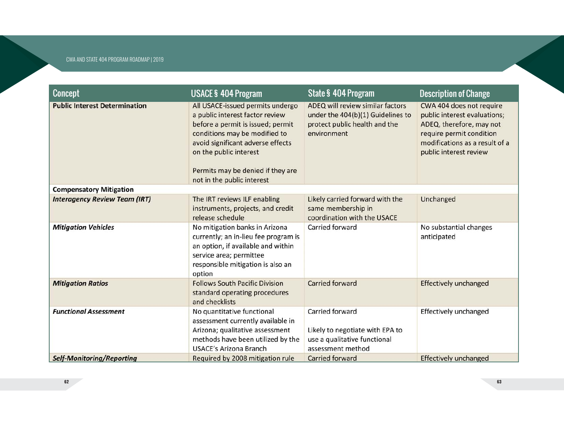| <b>Concept</b>                       | <b>USACE § 404 Program</b>                                                                                                                                                                                                                                                  | <b>State § 404 Program</b>                                                                                            | <b>Description of Change</b>                                                                                                                                                 |
|--------------------------------------|-----------------------------------------------------------------------------------------------------------------------------------------------------------------------------------------------------------------------------------------------------------------------------|-----------------------------------------------------------------------------------------------------------------------|------------------------------------------------------------------------------------------------------------------------------------------------------------------------------|
| <b>Public Interest Determination</b> | All USACE-issued permits undergo<br>a public interest factor review<br>before a permit is issued; permit<br>conditions may be modified to<br>avoid significant adverse effects<br>on the public interest<br>Permits may be denied if they are<br>not in the public interest | ADEQ will review similar factors<br>under the 404(b)(1) Guidelines to<br>protect public health and the<br>environment | CWA 404 does not require<br>public interest evaluations;<br>ADEQ, therefore, may not<br>require permit condition<br>modifications as a result of a<br>public interest review |
| <b>Compensatory Mitigation</b>       |                                                                                                                                                                                                                                                                             |                                                                                                                       |                                                                                                                                                                              |
| <b>Interagency Review Team (IRT)</b> | The IRT reviews ILF enabling<br>instruments, projects, and credit<br>release schedule                                                                                                                                                                                       | Likely carried forward with the<br>same membership in<br>coordination with the USACE                                  | Unchanged                                                                                                                                                                    |
| <b>Mitigation Vehicles</b>           | No mitigation banks in Arizona<br>currently; an in-lieu fee program is<br>an option, if available and within<br>service area; permittee<br>responsible mitigation is also an<br>option                                                                                      | Carried forward                                                                                                       | No substantial changes<br>anticipated                                                                                                                                        |
| <b>Mitigation Ratios</b>             | <b>Follows South Pacific Division</b><br>standard operating procedures<br>and checklists                                                                                                                                                                                    | <b>Carried forward</b>                                                                                                | <b>Effectively unchanged</b>                                                                                                                                                 |
| <b>Functional Assessment</b>         | No quantitative functional<br>assessment currently available in<br>Arizona; qualitative assessment<br>methods have been utilized by the<br><b>USACE's Arizona Branch</b>                                                                                                    | Carried forward<br>Likely to negotiate with EPA to<br>use a qualitative functional<br>assessment method               | Effectively unchanged                                                                                                                                                        |
| <b>Self-Monitoring/Reporting</b>     | Required by 2008 mitigation rule                                                                                                                                                                                                                                            | <b>Carried forward</b>                                                                                                | <b>Effectively unchanged</b>                                                                                                                                                 |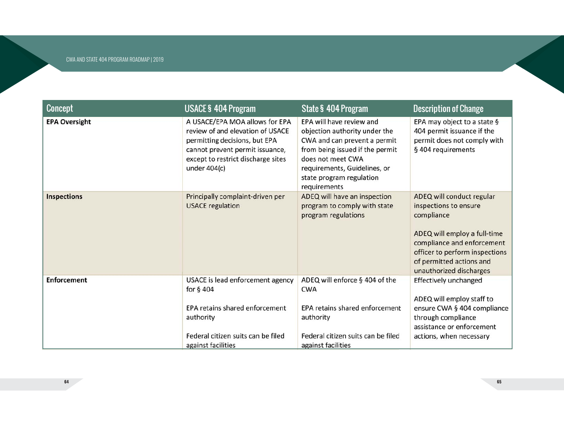| <b>Concept</b>       | <b>USACE § 404 Program</b>                                                                                                                                                                   | <b>State § 404 Program</b>                                                                                                                                                                                                    | <b>Description of Change</b>                                                                                                                                                                                            |
|----------------------|----------------------------------------------------------------------------------------------------------------------------------------------------------------------------------------------|-------------------------------------------------------------------------------------------------------------------------------------------------------------------------------------------------------------------------------|-------------------------------------------------------------------------------------------------------------------------------------------------------------------------------------------------------------------------|
| <b>EPA Oversight</b> | A USACE/EPA MOA allows for EPA<br>review of and elevation of USACE<br>permitting decisions, but EPA<br>cannot prevent permit issuance,<br>except to restrict discharge sites<br>under 404(c) | EPA will have review and<br>objection authority under the<br>CWA and can prevent a permit<br>from being issued if the permit<br>does not meet CWA<br>requirements, Guidelines, or<br>state program regulation<br>requirements | EPA may object to a state §<br>404 permit issuance if the<br>permit does not comply with<br>§ 404 requirements                                                                                                          |
| <b>Inspections</b>   | Principally complaint-driven per<br><b>USACE</b> regulation                                                                                                                                  | ADEQ will have an inspection<br>program to comply with state<br>program regulations                                                                                                                                           | ADEQ will conduct regular<br>inspections to ensure<br>compliance<br>ADEQ will employ a full-time<br>compliance and enforcement<br>officer to perform inspections<br>of permitted actions and<br>unauthorized discharges |
| <b>Enforcement</b>   | USACE is lead enforcement agency<br>for $§$ 404<br>EPA retains shared enforcement                                                                                                            | ADEQ will enforce § 404 of the<br><b>CWA</b><br>EPA retains shared enforcement                                                                                                                                                | Effectively unchanged<br>ADEQ will employ staff to<br>ensure CWA § 404 compliance                                                                                                                                       |
|                      | authority                                                                                                                                                                                    | authority                                                                                                                                                                                                                     | through compliance<br>assistance or enforcement                                                                                                                                                                         |
|                      | Federal citizen suits can be filed<br>against facilities                                                                                                                                     | Federal citizen suits can be filed<br>against facilities                                                                                                                                                                      | actions, when necessary                                                                                                                                                                                                 |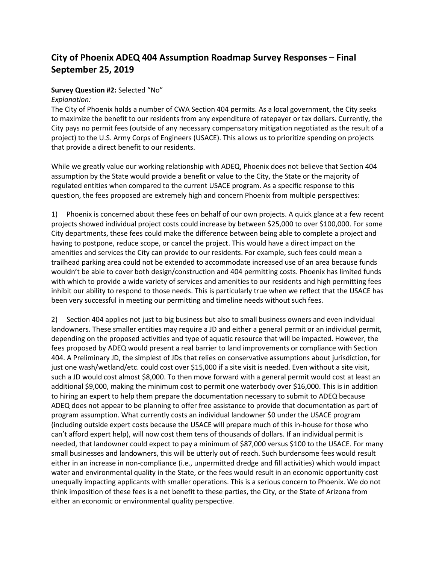# **City of Phoenix ADEQ 404 Assumption Roadmap Survey Responses – Final September 25, 2019**

### **Survey Question #2:** Selected "No"

#### *Explanation:*

The City of Phoenix holds a number of CWA Section 404 permits. As a local government, the City seeks to maximize the benefit to our residents from any expenditure of ratepayer or tax dollars. Currently, the City pays no permit fees (outside of any necessary compensatory mitigation negotiated as the result of a project) to the U.S. Army Corps of Engineers (USACE). This allows us to prioritize spending on projects that provide a direct benefit to our residents.

While we greatly value our working relationship with ADEQ, Phoenix does not believe that Section 404 assumption by the State would provide a benefit or value to the City, the State or the majority of regulated entities when compared to the current USACE program. As a specific response to this question, the fees proposed are extremely high and concern Phoenix from multiple perspectives:

1) Phoenix is concerned about these fees on behalf of our own projects. A quick glance at a few recent projects showed individual project costs could increase by between \$25,000 to over \$100,000. For some City departments, these fees could make the difference between being able to complete a project and having to postpone, reduce scope, or cancel the project. This would have a direct impact on the amenities and services the City can provide to our residents. For example, such fees could mean a trailhead parking area could not be extended to accommodate increased use of an area because funds wouldn't be able to cover both design/construction and 404 permitting costs. Phoenix has limited funds with which to provide a wide variety of services and amenities to our residents and high permitting fees inhibit our ability to respond to those needs. This is particularly true when we reflect that the USACE has been very successful in meeting our permitting and timeline needs without such fees.

2) Section 404 applies not just to big business but also to small business owners and even individual landowners. These smaller entities may require a JD and either a general permit or an individual permit, depending on the proposed activities and type of aquatic resource that will be impacted. However, the fees proposed by ADEQ would present a real barrier to land improvements or compliance with Section 404. A Preliminary JD, the simplest of JDs that relies on conservative assumptions about jurisdiction, for just one wash/wetland/etc. could cost over \$15,000 if a site visit is needed. Even without a site visit, such a JD would cost almost \$8,000. To then move forward with a general permit would cost at least an additional \$9,000, making the minimum cost to permit one waterbody over \$16,000. This is in addition to hiring an expert to help them prepare the documentation necessary to submit to ADEQ because ADEQ does not appear to be planning to offer free assistance to provide that documentation as part of program assumption. What currently costs an individual landowner \$0 under the USACE program (including outside expert costs because the USACE will prepare much of this in-house for those who can't afford expert help), will now cost them tens of thousands of dollars. If an individual permit is needed, that landowner could expect to pay a minimum of \$87,000 versus \$100 to the USACE. For many small businesses and landowners, this will be utterly out of reach. Such burdensome fees would result either in an increase in non-compliance (i.e., unpermitted dredge and fill activities) which would impact water and environmental quality in the State, or the fees would result in an economic opportunity cost unequally impacting applicants with smaller operations. This is a serious concern to Phoenix. We do not think imposition of these fees is a net benefit to these parties, the City, or the State of Arizona from either an economic or environmental quality perspective.